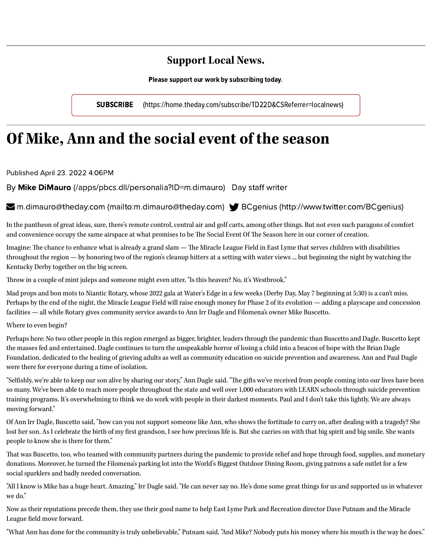## **Support Local News.**

Please support our work by subscribing today.

SUBSCRIBE [\(https://home.theday.com/subscribe/TD22D&CSReferrer=localnews\)](https://home.theday.com/subscribe/TD22D&CSReferrer=localnews)

## **Of Mike, Ann and the social event of the season**

Published April 23. 2022 4:06PM

By Mike DiMauro [\(/apps/pbcs.dll/personalia?ID=m.dimauro\)](https://www.theday.com/apps/pbcs.dll/personalia?ID=m.dimauro) Day staff writer

**■** m.dimauro@theday.com [\(mailto:m.dimauro@theday.com\)](mailto:m.dimauro@theday.com) ■ BCgenius [\(http://www.twitter.com/BCgenius\)](http://www.twitter.com/BCgenius)

In the pantheon of great ideas, sure, there's remote control, central air and golf carts, among other things. But not even such paragons of comfort and convenience occupy the same airspace at what promises to be The Social Event Of The Season here in our corner of creation.

Imagine: The chance to enhance what is already a grand slam — The Miracle League Field in East Lyme that serves children with disabilities throughout the region — by honoring two of the region's cleanup hitters at a setting with water views ... but beginning the night by watching the Kentucky Derby together on the big screen.

Throw in a couple of mint juleps and someone might even utter, "Is this heaven? No, it's Westbrook."

Mad props and bon mots to Niantic Rotary, whose 2022 gala at Water's Edge in a few weeks (Derby Day, May 7 beginning at 5:30) is a can't miss. Perhaps by the end of the night, the Miracle League Field will raise enough money for Phase 2 of its evolution — adding a playscape and concession facilities — all while Rotary gives community service awards to Ann Irr Dagle and Filomena's owner Mike Buscetto.

Where to even begin?

Perhaps here: No two other people in this region emerged as bigger, brighter, leaders through the pandemic than Buscetto and Dagle. Buscetto kept the masses fed and entertained. Dagle continues to turn the unspeakable horror of losing a child into a beacon of hope with the Brian Dagle Foundation, dedicated to the healing of grieving adults as well as community education on suicide prevention and awareness. Ann and Paul Dagle were there for everyone during a time of isolation.

"Selfishly, we're able to keep our son alive by sharing our story," Ann Dagle said. "The gifts we've received from people coming into our lives have been so many. We've been able to reach more people throughout the state and well over 1,000 educators with LEARN schools through suicide prevention training programs. It's overwhelming to think we do work with people in their darkest moments. Paul and I don't take this lightly. We are always moving forward."

Of Ann Irr Dagle, Buscetto said, "how can you not support someone like Ann, who shows the fortitude to carry on, after dealing with a tragedy? She lost her son. As I celebrate the birth of my first grandson, I see how precious life is. But she carries on with that big spirit and big smile. She wants people to know she is there for them."

That was Buscetto, too, who teamed with community partners during the pandemic to provide relief and hope through food, supplies, and monetary donations. Moreover, he turned the Filomena's parking lot into the World's Biggest Outdoor Dining Room, giving patrons a safe outlet for a few social sparklers and badly needed conversation.

"All I know is Mike has a huge heart. Amazing," Irr Dagle said. "He can never say no. He's done some great things for us and supported us in whatever we do."

Now as their reputations precede them, they use their good name to help East Lyme Park and Recreation director Dave Putnam and the Miracle League field move forward.

"What Ann has done for the community is truly unbelievable," Putnam said. "And Mike? Nobody puts his money where his mouth is the way he does."